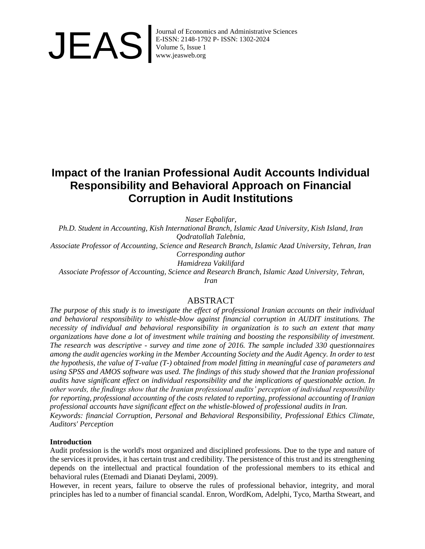

Journal of Economics and Administrative Sciences<br>E-ISSN: 2148-1792 P- ISSN: 1302-2024<br>Volume 5, Issue 1<br>www.jeasweb.org E-ISSN: 2148-1792 P- ISSN: 1302-2024 Volume 5, Issue 1 www.jeasweb.org

# **Impact of the Iranian Professional Audit Accounts Individual Responsibility and Behavioral Approach on Financial Corruption in Audit Institutions**

*Naser Eqbalifar,*

*Ph.D. Student in Accounting, Kish International Branch, Islamic Azad University, Kish Island, Iran Qodratollah Talebnia,*

*Associate Professor of Accounting, Science and Research Branch, Islamic Azad University, Tehran, Iran Corresponding author*

*Hamidreza Vakilifard*

*Associate Professor of Accounting, Science and Research Branch, Islamic Azad University, Tehran,* 

*Iran*

# ABSTRACT

*The purpose of this study is to investigate the effect of professional Iranian accounts on their individual and behavioral responsibility to whistle-blow against financial corruption in AUDIT institutions. The necessity of individual and behavioral responsibility in organization is to such an extent that many organizations have done a lot of investment while training and boosting the responsibility of investment. The research was descriptive - survey and time zone of 2016. The sample included 330 questionnaires among the audit agencies working in the Member Accounting Society and the Audit Agency. In order to test the hypothesis, the value of T-value (T-) obtained from model fitting in meaningful case of parameters and using SPSS and AMOS software was used. The findings of this study showed that the Iranian professional audits have significant effect on individual responsibility and the implications of questionable action. In other words, the findings show that the Iranian professional audits' perception of individual responsibility for reporting, professional accounting of the costs related to reporting, professional accounting of Iranian professional accounts have significant effect on the whistle-blowed of professional audits in Iran.*

*Keywords: financial Corruption, Personal and Behavioral Responsibility, Professional Ethics Climate, Auditors' Perception*

#### **Introduction**

Audit profession is the world's most organized and disciplined professions. Due to the type and nature of the services it provides, it has certain trust and credibility. The persistence of this trust and its strengthening depends on the intellectual and practical foundation of the professional members to its ethical and behavioral rules (Etemadi and Dianati Deylami, 2009).

However, in recent years, failure to observe the rules of professional behavior, integrity, and moral principles has led to a number of financial scandal. Enron, WordKom, Adelphi, Tyco, Martha Stweart, and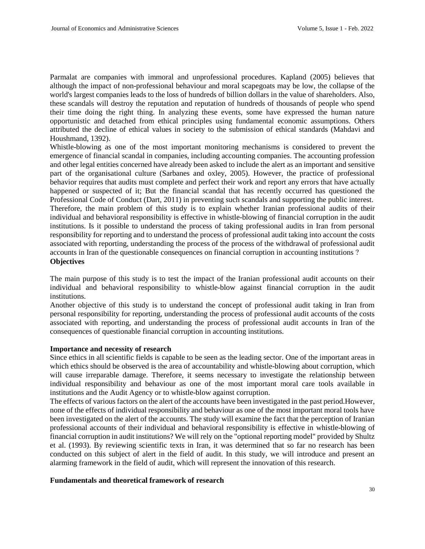Parmalat are companies with immoral and unprofessional procedures. Kapland (2005) believes that although the impact of non-professional behaviour and moral scapegoats may be low, the collapse of the world's largest companies leads to the loss of hundreds of billion dollars in the value of shareholders. Also, these scandals will destroy the reputation and reputation of hundreds of thousands of people who spend their time doing the right thing. In analyzing these events, some have expressed the human nature opportunistic and detached from ethical principles using fundamental economic assumptions. Others attributed the decline of ethical values in society to the submission of ethical standards (Mahdavi and Houshmand, 1392).

Whistle-blowing as one of the most important monitoring mechanisms is considered to prevent the emergence of financial scandal in companies, including accounting companies. The accounting profession and other legal entities concerned have already been asked to include the alert as an important and sensitive part of the organisational culture (Sarbanes and oxley, 2005). However, the practice of professional behavior requires that audits must complete and perfect their work and report any errors that have actually happened or suspected of it; But the financial scandal that has recently occurred has questioned the Professional Code of Conduct (Dart, 2011) in preventing such scandals and supporting the public interest. Therefore, the main problem of this study is to explain whether Iranian professional audits of their individual and behavioral responsibility is effective in whistle-blowing of financial corruption in the audit institutions. Is it possible to understand the process of taking professional audits in Iran from personal responsibility for reporting and to understand the process of professional audit taking into account the costs associated with reporting, understanding the process of the process of the withdrawal of professional audit accounts in Iran of the questionable consequences on financial corruption in accounting institutions ? **Objectives**

The main purpose of this study is to test the impact of the Iranian professional audit accounts on their individual and behavioral responsibility to whistle-blow against financial corruption in the audit institutions.

Another objective of this study is to understand the concept of professional audit taking in Iran from personal responsibility for reporting, understanding the process of professional audit accounts of the costs associated with reporting, and understanding the process of professional audit accounts in Iran of the consequences of questionable financial corruption in accounting institutions.

#### **Importance and necessity of research**

Since ethics in all scientific fields is capable to be seen as the leading sector. One of the important areas in which ethics should be observed is the area of accountability and whistle-blowing about corruption, which will cause irreparable damage. Therefore, it seems necessary to investigate the relationship between individual responsibility and behaviour as one of the most important moral care tools available in institutions and the Audit Agency or to whistle-blow against corruption.

The effects of various factors on the alert of the accounts have been investigated in the past period.However, none of the effects of individual responsibility and behaviour as one of the most important moral tools have been investigated on the alert of the accounts. The study will examine the fact that the perception of Iranian professional accounts of their individual and behavioral responsibility is effective in whistle-blowing of financial corruption in audit institutions? We will rely on the "optional reporting model" provided by Shultz et al. (1993). By reviewing scientific texts in Iran, it was determined that so far no research has been conducted on this subject of alert in the field of audit. In this study, we will introduce and present an alarming framework in the field of audit, which will represent the innovation of this research.

### **Fundamentals and theoretical framework of research**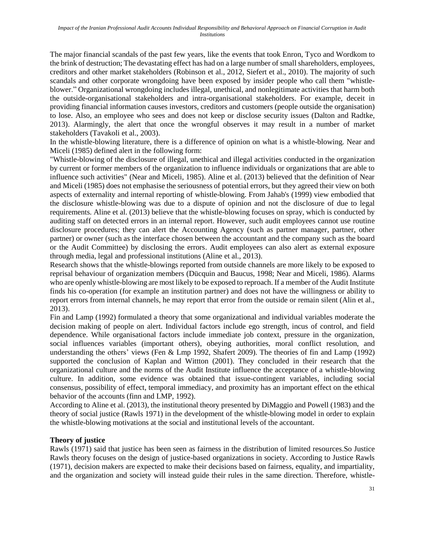The major financial scandals of the past few years, like the events that took Enron, Tyco and Wordkom to the brink of destruction; The devastating effect has had on a large number of small shareholders, employees, creditors and other market stakeholders (Robinson et al., 2012, Siefert et al., 2010). The majority of such scandals and other corporate wrongdoing have been exposed by insider people who call them "whistleblower." Organizational wrongdoing includes illegal, unethical, and nonlegitimate activities that harm both the outside-organisational stakeholders and intra-organisational stakeholders. For example, deceit in providing financial information causes investors, creditors and customers (people outside the organisation) to lose. Also, an employee who sees and does not keep or disclose security issues (Dalton and Radtke, 2013). Alarmingly, the alert that once the wrongful observes it may result in a number of market stakeholders (Tavakoli et al., 2003).

In the whistle-blowing literature, there is a difference of opinion on what is a whistle-blowing. Near and Miceli (1985) defined alert in the following form:

"Whistle-blowing of the disclosure of illegal, unethical and illegal activities conducted in the organization by current or former members of the organization to influence individuals or organizations that are able to influence such activities" (Near and Miceli, 1985). Aline et al. (2013) believed that the definition of Near and Miceli (1985) does not emphasise the seriousness of potential errors, but they agreed their view on both aspects of externality and internal reporting of whistle-blowing. From Jahab's (1999) view embodied that the disclosure whistle-blowing was due to a dispute of opinion and not the disclosure of due to legal requirements. Aline et al. (2013) believe that the whistle-blowing focuses on spray, which is conducted by auditing staff on detected errors in an internal report. However, such audit employees cannot use routine disclosure procedures; they can alert the Accounting Agency (such as partner manager, partner, other partner) or owner (such as the interface chosen between the accountant and the company such as the board or the Audit Committee) by disclosing the errors. Audit employees can also alert as external exposure through media, legal and professional institutions (Aline et al., 2013).

Research shows that the whistle-blowings reported from outside channels are more likely to be exposed to reprisal behaviour of organization members (Dücquin and Baucus, 1998; Near and Miceli, 1986). Alarms who are openly whistle-blowing are most likely to be exposed to reproach. If a member of the Audit Institute finds his co-operation (for example an institution partner) and does not have the willingness or ability to report errors from internal channels, he may report that error from the outside or remain silent (Alin et al., 2013).

Fin and Lamp (1992) formulated a theory that some organizational and individual variables moderate the decision making of people on alert. Individual factors include ego strength, incus of control, and field dependence. While organisational factors include immediate job context, pressure in the organization, social influences variables (important others), obeying authorities, moral conflict resolution, and understanding the others' views (Fen & Lmp 1992, Shafert 2009). The theories of fin and Lamp (1992) supported the conclusion of Kaplan and Wittton (2001). They concluded in their research that the organizational culture and the norms of the Audit Institute influence the acceptance of a whistle-blowing culture. In addition, some evidence was obtained that issue-contingent variables, including social consensus, possibility of effect, temporal immediacy, and proximity has an important effect on the ethical behavior of the accounts (finn and LMP, 1992).

According to Aline et al. (2013), the institutional theory presented by DiMaggio and Powell (1983) and the theory of social justice (Rawls 1971) in the development of the whistle-blowing model in order to explain the whistle-blowing motivations at the social and institutional levels of the accountant.

# **Theory of justice**

Rawls (1971) said that justice has been seen as fairness in the distribution of limited resources.So Justice Rawls theory focuses on the design of justice-based organizations in society. According to Justice Rawls (1971), decision makers are expected to make their decisions based on fairness, equality, and impartiality, and the organization and society will instead guide their rules in the same direction. Therefore, whistle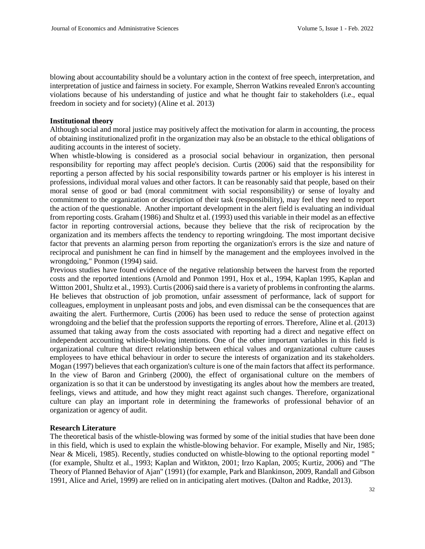blowing about accountability should be a voluntary action in the context of free speech, interpretation, and interpretation of justice and fairness in society. For example, Sherron Watkins revealed Enron's accounting violations because of his understanding of justice and what he thought fair to stakeholders (i.e., equal freedom in society and for society) (Aline et al. 2013)

#### **Institutional theory**

Although social and moral justice may positively affect the motivation for alarm in accounting, the process of obtaining institutionalized profit in the organization may also be an obstacle to the ethical obligations of auditing accounts in the interest of society.

When whistle-blowing is considered as a prosocial social behaviour in organization, then personal responsibility for reporting may affect people's decision. Curtis (2006) said that the responsibility for reporting a person affected by his social responsibility towards partner or his employer is his interest in professions, individual moral values and other factors. It can be reasonably said that people, based on their moral sense of good or bad (moral commitment with social responsibility) or sense of loyalty and commitment to the organization or description of their task (responsibility), may feel they need to report the action of the questionable. Another important development in the alert field is evaluating an individual from reporting costs. Graham (1986) and Shultz et al. (1993) used this variable in their model as an effective factor in reporting controversial actions, because they believe that the risk of reciprocation by the organization and its members affects the tendency to reporting wringdoing. The most important decisive factor that prevents an alarming person from reporting the organization's errors is the size and nature of reciprocal and punishment he can find in himself by the management and the employees involved in the wrongdoing," Ponmon (1994) said.

Previous studies have found evidence of the negative relationship between the harvest from the reported costs and the reported intentions (Arnold and Ponmon 1991, Hox et al., 1994, Kaplan 1995, Kaplan and Wittton 2001, Shultz et al., 1993). Curtis (2006) said there is a variety of problems in confronting the alarms. He believes that obstruction of job promotion, unfair assessment of performance, lack of support for colleagues, employment in unpleasant posts and jobs, and even dismissal can be the consequences that are awaiting the alert. Furthermore, Curtis (2006) has been used to reduce the sense of protection against wrongdoing and the belief that the profession supports the reporting of errors. Therefore, Aline et al. (2013) assumed that taking away from the costs associated with reporting had a direct and negative effect on independent accounting whistle-blowing intentions. One of the other important variables in this field is organizational culture that direct relationship between ethical values and organizational culture causes employees to have ethical behaviour in order to secure the interests of organization and its stakeholders. Mogan (1997) believes that each organization's culture is one of the main factors that affect its performance. In the view of Baron and Grinberg (2000), the effect of organisational culture on the members of organization is so that it can be understood by investigating its angles about how the members are treated, feelings, views and attitude, and how they might react against such changes. Therefore, organizational culture can play an important role in determining the frameworks of professional behavior of an organization or agency of audit.

#### **Research Literature**

The theoretical basis of the whistle-blowing was formed by some of the initial studies that have been done in this field, which is used to explain the whistle-blowing behavior. For example, Miselly and Nir, 1985; Near & Miceli, 1985). Recently, studies conducted on whistle-blowing to the optional reporting model " (for example, Shultz et al., 1993; Kaplan and Witkton, 2001; Irzo Kaplan, 2005; Kurtiz, 2006) and "The Theory of Planned Behavior of Ajan" (1991) (for example, Park and Blankinson, 2009, Randall and Gibson 1991, Alice and Ariel, 1999) are relied on in anticipating alert motives. (Dalton and Radtke, 2013).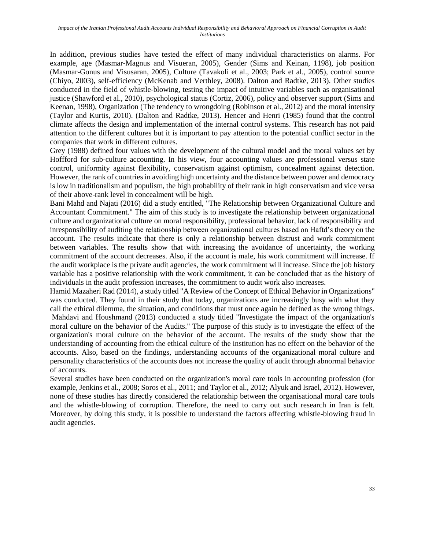In addition, previous studies have tested the effect of many individual characteristics on alarms. For example, age (Masmar-Magnus and Visueran, 2005), Gender (Sims and Keinan, 1198), job position (Masmar-Gonus and Visusaran, 2005), Culture (Tavakoli et al., 2003; Park et al., 2005), control source (Chiyo, 2003), self-efficiency (McKenab and Verthley, 2008). Dalton and Radtke, 2013). Other studies conducted in the field of whistle-blowing, testing the impact of intuitive variables such as organisational justice (Shawford et al., 2010), psychological status (Cortiz, 2006), policy and observer support (Sims and Keenan, 1998), Organization (The tendency to wrongdoing (Robinson et al., 2012) and the moral intensity (Taylor and Kurtis, 2010). (Dalton and Radtke, 2013). Hencer and Henri (1985) found that the control climate affects the design and implementation of the internal control systems. This research has not paid attention to the different cultures but it is important to pay attention to the potential conflict sector in the companies that work in different cultures.

Grey (1988) defined four values with the development of the cultural model and the moral values set by Hoffford for sub-culture accounting. In his view, four accounting values are professional versus state control, uniformity against flexibility, conservatism against optimism, concealment against detection. However, the rank of countries in avoiding high uncertainty and the distance between power and democracy is low in traditionalism and populism, the high probability of their rank in high conservatism and vice versa of their above-rank level in concealment will be high.

Bani Mahd and Najati (2016) did a study entitled, "The Relationship between Organizational Culture and Accountant Commitment." The aim of this study is to investigate the relationship between organizational culture and organizational culture on moral responsibility, professional behavior, lack of responsibility and inresponsibility of auditing the relationship between organizational cultures based on Haftd's theory on the account. The results indicate that there is only a relationship between distrust and work commitment between variables. The results show that with increasing the avoidance of uncertainty, the working commitment of the account decreases. Also, if the account is male, his work commitment will increase. If the audit workplace is the private audit agencies, the work commitment will increase. Since the job history variable has a positive relationship with the work commitment, it can be concluded that as the history of individuals in the audit profession increases, the commitment to audit work also increases.

Hamid Mazaheri Rad (2014), a study titled "A Review of the Concept of Ethical Behavior in Organizations" was conducted. They found in their study that today, organizations are increasingly busy with what they call the ethical dilemma, the situation, and conditions that must once again be defined as the wrong things. Mahdavi and Houshmand (2013) conducted a study titled "Investigate the impact of the organization's moral culture on the behavior of the Audits." The purpose of this study is to investigate the effect of the organization's moral culture on the behavior of the account. The results of the study show that the understanding of accounting from the ethical culture of the institution has no effect on the behavior of the accounts. Also, based on the findings, understanding accounts of the organizational moral culture and personality characteristics of the accounts does not increase the quality of audit through abnormal behavior of accounts.

Several studies have been conducted on the organization's moral care tools in accounting profession (for example, Jenkins et al., 2008; Soros et al., 2011; and Taylor et al., 2012; Alyuk and Israel, 2012). However, none of these studies has directly considered the relationship between the organisational moral care tools and the whistle-blowing of corruption. Therefore, the need to carry out such research in Iran is felt. Moreover, by doing this study, it is possible to understand the factors affecting whistle-blowing fraud in audit agencies.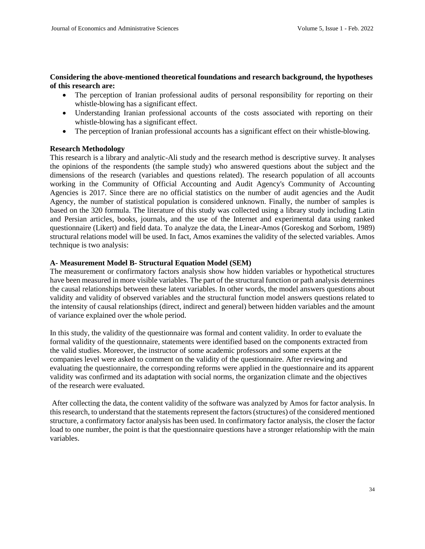### **Considering the above-mentioned theoretical foundations and research background, the hypotheses of this research are:**

- The perception of Iranian professional audits of personal responsibility for reporting on their whistle-blowing has a significant effect.
- Understanding Iranian professional accounts of the costs associated with reporting on their whistle-blowing has a significant effect.
- The perception of Iranian professional accounts has a significant effect on their whistle-blowing.

#### **Research Methodology**

This research is a library and analytic-Ali study and the research method is descriptive survey. It analyses the opinions of the respondents (the sample study) who answered questions about the subject and the dimensions of the research (variables and questions related). The research population of all accounts working in the Community of Official Accounting and Audit Agency's Community of Accounting Agencies is 2017. Since there are no official statistics on the number of audit agencies and the Audit Agency, the number of statistical population is considered unknown. Finally, the number of samples is based on the 320 formula. The literature of this study was collected using a library study including Latin and Persian articles, books, journals, and the use of the Internet and experimental data using ranked questionnaire (Likert) and field data. To analyze the data, the Linear-Amos (Goreskog and Sorbom, 1989) structural relations model will be used. In fact, Amos examines the validity of the selected variables. Amos technique is two analysis:

#### **A- Measurement Model B- Structural Equation Model (SEM)**

The measurement or confirmatory factors analysis show how hidden variables or hypothetical structures have been measured in more visible variables. The part of the structural function or path analysis determines the causal relationships between these latent variables. In other words, the model answers questions about validity and validity of observed variables and the structural function model answers questions related to the intensity of causal relationships (direct, indirect and general) between hidden variables and the amount of variance explained over the whole period.

In this study, the validity of the questionnaire was formal and content validity. In order to evaluate the formal validity of the questionnaire, statements were identified based on the components extracted from the valid studies. Moreover, the instructor of some academic professors and some experts at the companies level were asked to comment on the validity of the questionnaire. After reviewing and evaluating the questionnaire, the corresponding reforms were applied in the questionnaire and its apparent validity was confirmed and its adaptation with social norms, the organization climate and the objectives of the research were evaluated.

After collecting the data, the content validity of the software was analyzed by Amos for factor analysis. In this research, to understand that the statements represent the factors (structures) of the considered mentioned structure, a confirmatory factor analysis has been used. In confirmatory factor analysis, the closer the factor load to one number, the point is that the questionnaire questions have a stronger relationship with the main variables.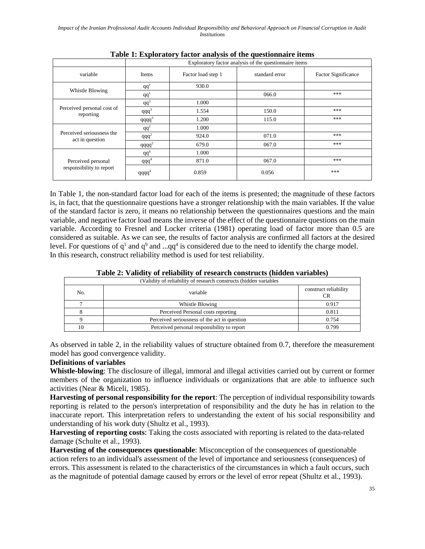|                                                | Exploratory factor analysis of the questionnaire items |                    |                |                            |  |
|------------------------------------------------|--------------------------------------------------------|--------------------|----------------|----------------------------|--|
| variable                                       | <b>Items</b>                                           | Factor load step 1 | standard error | <b>Factor Significance</b> |  |
|                                                | qq'                                                    | 930.0              |                |                            |  |
| Whistle Blowing                                | qq <sup>1</sup>                                        |                    | 066.0          | ***                        |  |
|                                                | $qq^3$                                                 | 1.000              |                |                            |  |
| Perceived personal cost of<br>reporting        | $qqq^3$                                                | 1.554              | 150.0          | ***                        |  |
|                                                | $qqqq^3$                                               | 1.200              | 115.0          | ***                        |  |
|                                                | $qq^2$                                                 | 1.000              |                |                            |  |
| Perceived seriousness the<br>act in question   | $qqq^2$                                                | 924.0              | 071.0          | ***                        |  |
|                                                | qqqq <sup>2</sup>                                      | 679.0              | 067.0          | ***                        |  |
|                                                | $qq^4$                                                 | 1.000              |                |                            |  |
| Perceived personal<br>responsibility to report | $qqq^4$                                                | 871.0              | 067.0          | ***                        |  |
|                                                | $qqqq^4$                                               | 0.859              | 0.056          | ***                        |  |

**Table 1: Exploratory factor analysis of the questionnaire items**

In Table 1, the non-standard factor load for each of the items is presented; the magnitude of these factors is, in fact, that the questionnaire questions have a stronger relationship with the main variables. If the value of the standard factor is zero, it means no relationship between the questionnaires questions and the main variable, and negative factor load means the inverse of the effect of the questionnaire questions on the main variable. According to Fresnel and Locker criteria (1981) operating load of factor more than 0.5 are considered as suitable. As we can see, the results of factor analysis are confirmed all factors at the desired level. For questions of  $q<sup>1</sup>$  and  $q<sup>9</sup>$  and ... $qq<sup>4</sup>$  is considered due to the need to identify the charge model. In this research, construct reliability method is used for test reliability.

| Table 2: Validity of reliability of research constructs (hidden variables) |
|----------------------------------------------------------------------------|
| (Volidity of religibility of research constructs (hidden veriables)        |

| (Validity of reliability of research constructs (hidden variables) |                                              |                             |  |  |  |
|--------------------------------------------------------------------|----------------------------------------------|-----------------------------|--|--|--|
| No.                                                                | variable                                     | construct reliability<br>CR |  |  |  |
|                                                                    | Whistle Blowing                              | 0.917                       |  |  |  |
|                                                                    | Perceived Personal costs reporting           | 0.811                       |  |  |  |
|                                                                    | Perceived seriousness of the act in question | 0.754                       |  |  |  |
| 10                                                                 | Perceived personal responsibility to report  | 0.799                       |  |  |  |

As observed in table 2, in the reliability values of structure obtained from 0.7, therefore the measurement model has good convergence validity.

# **Definitions of variables**

**Whistle-blowing**: The disclosure of illegal, immoral and illegal activities carried out by current or former members of the organization to influence individuals or organizations that are able to influence such activities (Near & Miceli, 1985).

**Harvesting of personal responsibility for the report**: The perception of individual responsibility towards reporting is related to the person's interpretation of responsibility and the duty he has in relation to the inaccurate report. This interpretation refers to understanding the extent of his social responsibility and understanding of his work duty (Shultz et al., 1993).

**Harvesting of reporting costs**: Taking the costs associated with reporting is related to the data-related damage (Schulte et al., 1993).

**Harvesting of the consequences questionable**: Misconception of the consequences of questionable action refers to an individual's assessment of the level of importance and seriousness (consequences) of errors. This assessment is related to the characteristics of the circumstances in which a fault occurs, such as the magnitude of potential damage caused by errors or the level of error repeat (Shultz et al., 1993).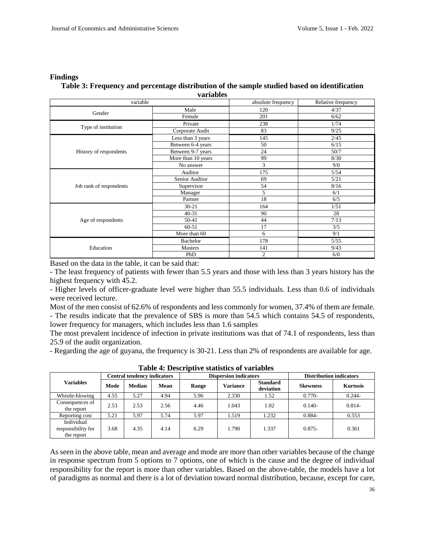#### **Findings**

### **Table 3: Frequency and percentage distribution of the sample studied based on identification variables**

| variable                |                                                                                                   | absolute frequency | Relative frequency |  |
|-------------------------|---------------------------------------------------------------------------------------------------|--------------------|--------------------|--|
| Gender                  | Male                                                                                              | 120                | 4/37               |  |
|                         | Female                                                                                            | 201                | 6/62               |  |
|                         | Private                                                                                           | 238                | 1/74               |  |
| Type of institution     | Corporate Audit                                                                                   | 83                 | 9/25               |  |
|                         | Less than 3 years                                                                                 | 145                | 2/45               |  |
|                         | Between 6-4 years                                                                                 | 50                 | 6/15               |  |
| History of respondents  | Between 9-7 years                                                                                 | 24                 | 50/7               |  |
|                         | More than 10 years                                                                                | 99                 | 8/30               |  |
|                         | No answer                                                                                         | 3                  | 9/0                |  |
|                         | Auditor                                                                                           | 175                | 5/54               |  |
|                         | Senior Auditor                                                                                    | 69                 | 5/21               |  |
| Job rank of respondents | Supervisor                                                                                        | 54                 | 8/16               |  |
|                         | Manager                                                                                           | 5                  | 6/1                |  |
|                         | Partner<br>$30 - 21$<br>$40 - 31$<br>50-41<br>60-51<br>More than 60<br>Bachelor<br>Masters<br>PhD | 18                 | 6/5                |  |
|                         |                                                                                                   | 164                | 1/51               |  |
|                         |                                                                                                   | 90                 | 28                 |  |
| Age of respondents      |                                                                                                   | 44                 | 7/13               |  |
|                         |                                                                                                   | 17                 | 3/5                |  |
|                         |                                                                                                   | 6                  | 9/1                |  |
|                         |                                                                                                   | 178                | 5/55               |  |
| Education               |                                                                                                   | 141                | 9/43               |  |
|                         | $\mathfrak{2}$                                                                                    |                    | 6/0                |  |

Based on the data in the table, it can be said that:

- The least frequency of patients with fewer than 5.5 years and those with less than 3 years history has the highest frequency with 45.2.

- Higher levels of officer-graduate level were higher than 55.5 individuals. Less than 0.6 of individuals were received lecture.

Most of the men consist of 62.6% of respondents and less commonly for women, 37.4% of them are female. - The results indicate that the prevalence of SBS is more than 54.5 which contains 54.5 of respondents, lower frequency for managers, which includes less than 1.6 samples

The most prevalent incidence of infection in private institutions was that of 74.1 of respondents, less than 25.9 of the audit organization.

- Regarding the age of guyana, the frequency is 30-21. Less than 2% of respondents are available for age.

| <b>Variables</b>                               | <b>Central tendency indicators</b> |        | <b>Dispersion indicators</b> |       |          | <b>Distribution indicators</b> |                 |                 |
|------------------------------------------------|------------------------------------|--------|------------------------------|-------|----------|--------------------------------|-----------------|-----------------|
|                                                | Mode                               | Median | <b>Mean</b>                  | Range | Variance | <b>Standard</b><br>deviation   | <b>Skewness</b> | <b>Kurtosis</b> |
| Whistle-blowing                                | 4.55                               | 5.27   | 4.94                         | 5.96  | 2.330    | 1.52                           | $0.770-$        | $0.244 -$       |
| Consequences of<br>the report                  | 2.53                               | 2.53   | 2.56                         | 4.46  | 1.043    | 1.02                           | $0.140 -$       | $0.814 -$       |
| Reporting cost                                 | 5.21                               | 5.97   | 5.74                         | 5.97  | 1.519    | 1.232                          | $0.884 -$       | 0.553           |
| Individual<br>responsibility for<br>the report | 3.68                               | 4.35   | 4.14                         | 6.29  | 1.790    | 1.337                          | $0.875 -$       | 0.361           |

**Table 4: Descriptive statistics of variables**

As seen in the above table, mean and average and mode are more than other variables because of the change in response spectrum from 5 options to 7 options, one of which is the cause and the degree of individual responsibility for the report is more than other variables. Based on the above-table, the models have a lot of paradigms as normal and there is a lot of deviation toward normal distribution, because, except for care,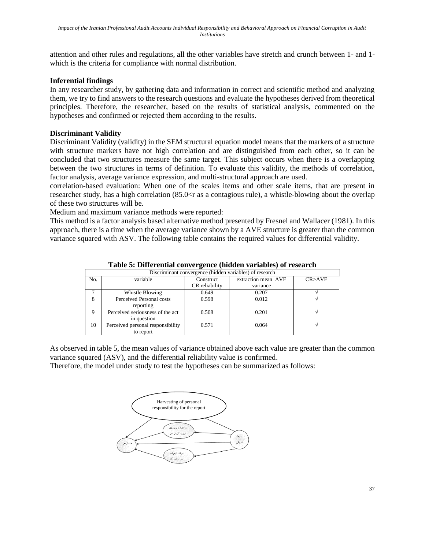attention and other rules and regulations, all the other variables have stretch and crunch between 1- and 1 which is the criteria for compliance with normal distribution.

# **Inferential findings**

In any researcher study, by gathering data and information in correct and scientific method and analyzing them, we try to find answers to the research questions and evaluate the hypotheses derived from theoretical principles. Therefore, the researcher, based on the results of statistical analysis, commented on the hypotheses and confirmed or rejected them according to the results.

## **Discriminant Validity**

Discriminant Validity (validity) in the SEM structural equation model means that the markers of a structure with structure markers have not high correlation and are distinguished from each other, so it can be concluded that two structures measure the same target. This subject occurs when there is a overlapping between the two structures in terms of definition. To evaluate this validity, the methods of correlation, factor analysis, average variance expression, and multi-structural approach are used.

correlation-based evaluation: When one of the scales items and other scale items, that are present in researcher study, has a high correlation (85.0<r as a contagious rule), a whistle-blowing about the overlap of these two structures will be.

Medium and maximum variance methods were reported:

This method is a factor analysis based alternative method presented by Fresnel and Wallacer (1981). In this approach, there is a time when the average variance shown by a AVE structure is greater than the common variance squared with ASV. The following table contains the required values for differential validity.

|             | Discriminant convergence (hidden variables) of research |                |                     |        |  |  |  |
|-------------|---------------------------------------------------------|----------------|---------------------|--------|--|--|--|
| No.         | variable                                                | Construct      | extraction mean AVE | CR>AVE |  |  |  |
|             |                                                         | CR reliability | variance            |        |  |  |  |
|             | Whistle Blowing                                         | 0.649          | 0.207               |        |  |  |  |
| 8           | Perceived Personal costs                                | 0.598          | 0.012               |        |  |  |  |
|             | reporting                                               |                |                     |        |  |  |  |
| $\mathbf Q$ | Perceived seriousness of the act<br>in question         | 0.508          | 0.201               |        |  |  |  |
| 10          | Perceived personal responsibility                       | 0.571          | 0.064               |        |  |  |  |
|             | to report                                               |                |                     |        |  |  |  |

**Table 5: Differential convergence (hidden variables) of research**

As observed in table 5, the mean values of variance obtained above each value are greater than the common variance squared (ASV), and the differential reliability value is confirmed.

Therefore, the model under study to test the hypotheses can be summarized as follows:

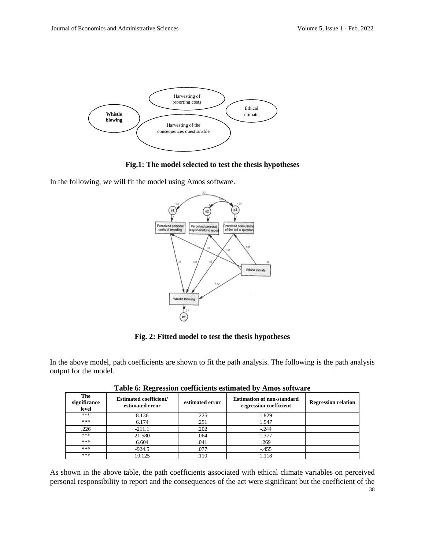

**Fig.1: The model selected to test the thesis hypotheses**

In the following, we will fit the model using Amos software.



**Fig. 2: Fitted model to test the thesis hypotheses**

In the above model, path coefficients are shown to fit the path analysis. The following is the path analysis output for the model.

| The<br>significance<br>level | <b>Estimated coefficient/</b><br>estimated error | estimated error | <b>Estimation of non-standard</b><br>regression coefficient | <b>Regression relation</b> |
|------------------------------|--------------------------------------------------|-----------------|-------------------------------------------------------------|----------------------------|
| ***                          | 8.136                                            | .225            | 1.829                                                       |                            |
| ***                          | 6.174                                            | .251            | 1.547                                                       |                            |
| .226                         | $-211.1$                                         | .202            | $-.244$                                                     |                            |
| ***                          | 21.580                                           | .064            | 1.377                                                       |                            |
| ***                          | 6.604                                            | .041            | .269                                                        |                            |
| ***                          | $-924.5$                                         | .077            | $-455$                                                      |                            |
| ***                          | 10.125                                           | .110            | 1.118                                                       |                            |

**Table 6: Regression coefficients estimated by Amos software**

38 As shown in the above table, the path coefficients associated with ethical climate variables on perceived personal responsibility to report and the consequences of the act were significant but the coefficient of the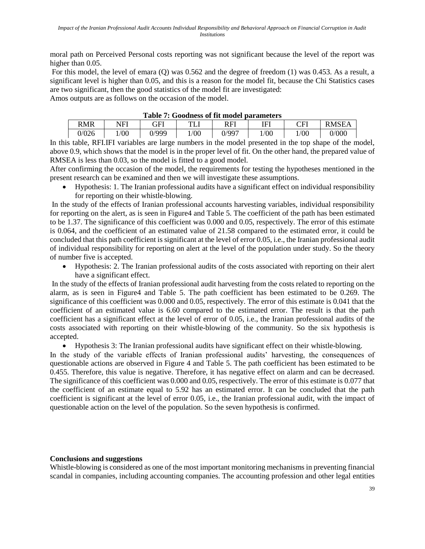moral path on Perceived Personal costs reporting was not significant because the level of the report was higher than 0.05.

For this model, the level of emara (Q) was 0.562 and the degree of freedom (1) was 0.453. As a result, a significant level is higher than 0.05, and this is a reason for the model fit, because the Chi Statistics cases are two significant, then the good statistics of the model fit are investigated:

Amos outputs are as follows on the occasion of the model.

| Table 7: Goodness of He model parameters |      |       |      |       |      |      |              |  |
|------------------------------------------|------|-------|------|-------|------|------|--------------|--|
| <b>RMR</b>                               | NFI  | GFI   | TТ   | RFI   | IF'  | CFI  | <b>RMSEA</b> |  |
| 0/026                                    | 1/00 | 0/999 | 1/00 | 0/997 | 1/00 | 1/00 | 0/000        |  |

**Table 7: Goodness of fit model parameters**

In this table, RFI.IFI variables are large numbers in the model presented in the top shape of the model, above 0.9, which shows that the model is in the proper level of fit. On the other hand, the prepared value of RMSEA is less than 0.03, so the model is fitted to a good model.

After confirming the occasion of the model, the requirements for testing the hypotheses mentioned in the present research can be examined and then we will investigate these assumptions.

 Hypothesis: 1. The Iranian professional audits have a significant effect on individual responsibility for reporting on their whistle-blowing.

In the study of the effects of Iranian professional accounts harvesting variables, individual responsibility for reporting on the alert, as is seen in Figure4 and Table 5. The coefficient of the path has been estimated to be 1.37. The significance of this coefficient was 0.000 and 0.05, respectively. The error of this estimate is 0.064, and the coefficient of an estimated value of 21.58 compared to the estimated error, it could be concluded that this path coefficient is significant at the level of error 0.05, i.e., the Iranian professional audit of individual responsibility for reporting on alert at the level of the population under study. So the theory of number five is accepted.

 Hypothesis: 2. The Iranian professional audits of the costs associated with reporting on their alert have a significant effect.

In the study of the effects of Iranian professional audit harvesting from the costs related to reporting on the alarm, as is seen in Figure4 and Table 5. The path coefficient has been estimated to be 0.269. The significance of this coefficient was 0.000 and 0.05, respectively. The error of this estimate is 0.041 that the coefficient of an estimated value is 6.60 compared to the estimated error. The result is that the path coefficient has a significant effect at the level of error of 0.05, i.e., the Iranian professional audits of the costs associated with reporting on their whistle-blowing of the community. So the six hypothesis is accepted.

Hypothesis 3: The Iranian professional audits have significant effect on their whistle-blowing.

In the study of the variable effects of Iranian professional audits' harvesting, the consequences of questionable actions are observed in Figure 4 and Table 5. The path coefficient has been estimated to be 0.455. Therefore, this value is negative. Therefore, it has negative effect on alarm and can be decreased. The significance of this coefficient was 0.000 and 0.05, respectively. The error of this estimate is 0.077 that the coefficient of an estimate equal to 5.92 has an estimated error. It can be concluded that the path coefficient is significant at the level of error 0.05, i.e., the Iranian professional audit, with the impact of questionable action on the level of the population. So the seven hypothesis is confirmed.

# **Conclusions and suggestions**

Whistle-blowing is considered as one of the most important monitoring mechanisms in preventing financial scandal in companies, including accounting companies. The accounting profession and other legal entities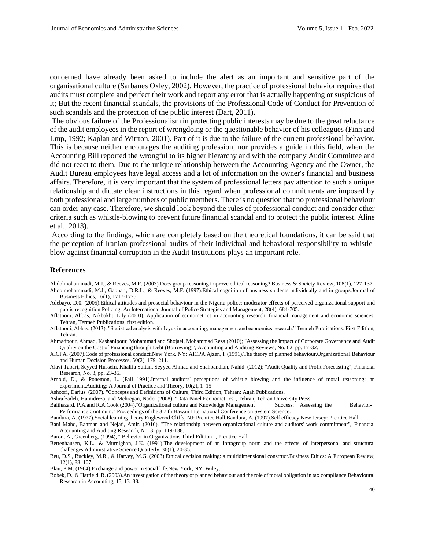concerned have already been asked to include the alert as an important and sensitive part of the organisational culture (Sarbanes Oxley, 2002). However, the practice of professional behavior requires that audits must complete and perfect their work and report any error that is actually happening or suspicious of it; But the recent financial scandals, the provisions of the Professional Code of Conduct for Prevention of such scandals and the protection of the public interest (Dart, 2011).

The obvious failure of the Professionalism in protecting public interests may be due to the great reluctance of the audit employees in the report of wrongdoing or the questionable behavior of his colleagues (Finn and Lmp, 1992; Kaplan and Wittton, 2001). Part of it is due to the failure of the current professional behavior. This is because neither encourages the auditing profession, nor provides a guide in this field, when the Accounting Bill reported the wrongful to its higher hierarchy and with the company Audit Committee and did not react to them. Due to the unique relationship between the Accounting Agency and the Owner, the Audit Bureau employees have legal access and a lot of information on the owner's financial and business affairs. Therefore, it is very important that the system of professional letters pay attention to such a unique relationship and dictate clear instructions in this regard when professional commitments are imposed by both professional and large numbers of public members. There is no question that no professional behaviour can order any case. Therefore, we should look beyond the rules of professional conduct and consider other criteria such as whistle-blowing to prevent future financial scandal and to protect the public interest. Aline et al., 2013).

According to the findings, which are completely based on the theoretical foundations, it can be said that the perception of Iranian professional audits of their individual and behavioral responsibility to whistleblow against financial corruption in the Audit Institutions plays an important role.

#### **References**

Abdolmohammadi, M.J., & Reeves, M.F. (2003).Does group reasoning improve ethical reasoning? Business & Society Review, 108(1), 127-137. Abdolmohammadi, M.J., Gabhart, D.R.L., & Reeves, M.F. (1997).Ethical cognition of business students individually and in groups.Journal of Business Ethics, 16(1), 1717-1725.

Adebayo, D.0. (2005).Ethical attitudes and prosocial behaviour in the Nigeria police: moderator effects of perceived organizational support and public recognition.Policing: An International Journal of Police Strategies and Management, 28(4), 684-705.

Aflatooni, Abbas, Nikbakht, Lily (2010). Application of econometrics in accounting research, financial management and economic sciences, Tehran, Termeh Publications, first edition.

Aflatooni, Abbas. (2013). "Statistical analysis with Ivyus in accounting, management and economics research." Termeh Publications. First Edition, Tehran.

Ahmadpour, Ahmad, Kashanipour, Mohammad and Shojaei, Mohammad Reza (2010); "Assessing the Impact of Corporate Governance and Audit Quality on the Cost of Financing through Debt (Borrowing)", Accounting and Auditing Reviews, No. 62, pp. 17-32.

AICPA. (2007).Code of professional conduct.New York, NY: AICPA.Ajzen, I. (1991).The theory of planned behaviour.Organizational Behaviour and Human Decision Processes, 50(2), 179–211.

Alavi Tabari, Seyyed Hussein, Khalifa Sultan, Seyyed Ahmad and Shahbandian, Nahid. (2012); "Audit Quality and Profit Forecasting", Financial Research, No. 3, pp. 23-35.

Arnold, D., & Ponemon, L. (Fall 1991).Internal auditors' perceptions of whistle blowing and the influence of moral reasoning: an experiment.Auditing: A Journal of Practice and Theory, 10(2), 1–15.

Ashoori, Darius. (2007). "Concepts and Definitions of Culture, Third Edition, Tehran: Agah Publications.

Ashrafzadeh, Hamidreza, and Mehregan, Nader (2008). "Data Panel Econometrics", Tehran, Tehran University Press.

Balthazard, P.A.and R.A.Cook (2004)."Organizational culture and Knowledge Management Success: Assessing the Behavior-Performance Continum." Proceedings of the 3 7 th Hawaii International Conference on System Science.

Bandura, A. (1977).Social learning theory.Englewood Cliffs, NJ: Prentice Hall.Bandura, A. (1997).Self efficacy.New Jersey: Prentice Hall.

Bani Mahd, Bahman and Nejati, Amir. (2016). "The relationship between organizational culture and auditors' work commitment", Financial Accounting and Auditing Research, No. 3, pp. 119-138.

Baron, A., Greenberg, (1994), " Behevior in Organizations Third Edition ", Prentice Hall.

Bettenhausen, K.L., & Murnighan, J.K. (1991).The development of an intragroup norm and the effects of interpersonal and structural challenges.Administrative Science Quarterly, 36(1), 20-35.

Beu, D.S., Buckley, M.R., & Harvey, M.G. (2003).Ethical decision making: a multidimensional construct.Business Ethics: A European Review, 12(1), 88–107.

Blau, P.M. (1964).Exchange and power in social life.New York, NY: Wiley.

Bobek, D., & Hatfield, R. (2003).An investigation of the theory of planned behaviour and the role of moral obligation in tax compliance.Behavioural Research in Accounting, 15, 13–38.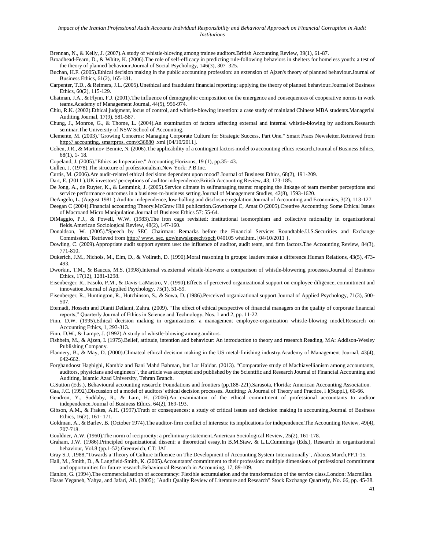#### *Impact of the Iranian Professional Audit Accounts Individual Responsibility and Behavioral Approach on Financial Corruption in Audit Institutions*

Brennan, N., & Kelly, J. (2007).A study of whistle-blowing among trainee auditors.British Accounting Review, 39(1), 61-87.

Broadhead-Fearn, D., & White, K. (2006).The role of self-efficacy in predicting rule-following behaviors in shelters for homeless youth: a test of the theory of planned behaviour.Journal of Social Psychology, 146(3), 307–325.

Buchan, H.F. (2005).Ethical decision making in the public accounting profession: an extension of Ajzen's theory of planned behaviour.Journal of Business Ethics, 61(2), 165-181.

Carpenter, T.D., & Reimers, J.L. (2005).Unethical and fraudulent financial reporting: applying the theory of planned behaviour.Journal of Business Ethics, 60(2), 115-129.

Chatman, J.A., & Flynn, F.J. (2001).The influence of demographic composition on the emergence and consequences of cooperative norms in work teams.Academy of Management Journal, 44(5), 956-974.

Chiu, R.K. (2002).Ethical judgment, locus of control, and whistle-blowing intention: a case study of mainland Chinese MBA students.Managerial Auditing Journal, 17(9), 581-587.

Chung, J., Monroe, G., & Thome, L. (2004).An examination of factors affecting external and internal whistle-blowing by auditors.Research seminar.The University of NSW School of Accounting.

Clemente, M. (2003)."Growing Concerns: Managing Corporate Culture for Strategic Success, Part One." Smart Praos Newsletter.Retrieved from http:// accounting. smartpros. com/x36880 .xml [04/10/2011].

Cohen, J.R., & Martinov-Bennie, N. (2006).The applicability of a contingent factors model to accounting ethics research.Journal of Business Ethics, 68(1), 1- 18.

Copeland, J. (2005)."Ethics as Imperative." Accounting Horizons, 19 (1), pp.35- 43.

Cullen, J. (1978).The structure of professionalism.New York: P.B.Inc.

Curtis, M. (2006).Are audit-related ethical decisions dependent upon mood? Journal of Business Ethics, 68(2), 191-209.

Dart, E. (2011 ).UK investors' perceptions of auditor independence.British Accounting Review, 43, 173-185.

De Jong, A., de Ruyter, K., & Lemmink, J. (2005).Service climate in selfmanaging teams: mapping the linkage of team member perceptions and service performance outcomes in a business-to-business setting.Journal of Management Studies, 42(8), 1593-1620.

DeAngelo, L. (August 1981 ).Auditor independence, low-balling and disclosure regulation.Journal of Accounting and Economics, 3(2), 113-127.

Deegan C (2004).Financial accounting Theory.McGraw Hill publication.Gowthorpe C, Amat O (2005).Creative Accounting: Some Ethical Issues of Macroand Micro Manipulation.Journal of Business Ethics 57: 55-64.

DiMaggio, P.J., & Powell, W.W. (1983).The iron cage revisited: institutional isomorphism and collective rationality in organizational fields.American Sociological Review, 48(2), 147-160.

Donaldson, W. (2005)."Speech by SEC Chairman: Remarks before the Financial Services Roundtable.U.S.Securities and Exchange Commission."Retrieved from http:// www. sec. gov/newslspeech/spch 040105 whd.htm. [04/10/2011 }.

Dowling, C. (2009).Appropriate audit support system use: the influence of auditor, audit team, and firm factors.The Accounting Review, 84(3), 771-810.

Dukerich, J.M., Nichols, M., Elm, D., & Vollrath, D. (1990).Moral reasoning in groups: leaders make a difference.Human Relations, 43(5), 473- 493.

Dworkin, T.M., & Baucus, M.S. (1998).Internal vs.external whistle-blowers: a comparison of whistle-blowering processes.Journal of Business Ethics, 17(12), 1281-1298.

Eisenberger, R., Fasolo, P.M., & Davis-LaMastro, V. (1990).Effects of perceived organizational support on employee diligence, commitment and innovation.Journal of Applied Psychology, 75(1), 51-59.

Eisenberger, R., Huntington, R., Hutchinson, S., & Sowa, D. (1986).Perceived organizational support.Journal of Applied Psychology, 71(3), 500- 507.

Etemadi, Hossein and Dianti Deilami, Zahra. (2009). "The effect of ethical perspective of financial managers on the quality of corporate financial reports," Quarterly Journal of Ethics in Science and Technology, Nos. 1 and 2, pp. 11-22.

Finn, D.W. (1995).Ethical decision making in organizations: a management employee-organization whistle-blowing model.Research on Accounting Ethics, 1, 293-313.

Finn, D.W., & Lampe, J. (1992).A study of whistle-blowing among auditors.

Fishbein, M., & Ajzen, I. (1975).Belief, attitude, intention and behaviour: An introduction to theory and research.Reading, MA: Addison-Wesley Publishing Company.

Flannery, B., & May, D. (2000).Climateal ethical decision making in the US metal-finishing industry.Academy of Management Journal, 43(4), 642-662.

Forghandoost Haghighi, Kambiz and Bani Mahd Bahman, but Lor Haidar. (2013). "Comparative study of Machiavellianism among accountants, auditors, physicians and engineers", the article was accepted and published by the Scientific and Research Journal of Financial Accounting and Auditing, Islamic Azad University, Tehran Branch.

G.Sutton (Eds.), Behavioural accounting research: Foundations and frontiers (pp.188-221).Sarasota, Florida: American Accounting Association.

Gaa, J.C. (1992).Discussion of a model of auditors' ethical decision processes. Auditing: A Journal of Theory and Practice, l l(Suppl.), 60-66.

Gendron, Y., Suddaby, R., & Lam, H. (2006).An examination of the ethical commitment of professional accountants to auditor independence.Journal of Business Ethics, 64(2), 169-193.

Gibson, A.M., & Frakes, A.H. (1997).Truth or consequences: a study of critical issues and decision making in accounting.Journal of Business Ethics, 16(2), 161- 171.

Goldman, A., & Barlev, B. (October 1974).The auditor-firm conflict of interests: its implications for independence.The Accounting Review, 49(4), 707-718.

Gouldner, A.W. (1960).The norm of reciprocity: a preliminary statement.American Sociological Review, 25(2), 161-178.

Graham, J.W. (1986).Principled organizational dissent: a theoretical essay.In B.M.Staw, & L.L.Cummings (Eds.), Research in organizational behaviour, Vol.8 (pp.1-52).Greenwich, CT: JAL

Gray S.J, .1988,"Towards a Theory of Culture Influence on The Development of Accounting System Internationally", Abacus,March,PP.1-15.

Hall, M., Smith, D., & Langfield-Smith, K. (2005).Accountants' commitment to their profession: multiple dimensions of professional commitment and opportunities for future research.Behavioural Research in Accounting, 17, 89-109.

Hanlon, G. (1994).The commercialisation of accountancy: Flexible accumulation and the transformation of the service class.London: Macmillan. Hasas Yeganeh, Yahya, and Jafari, Ali. (2005); "Audit Quality Review of Literature and Research" Stock Exchange Quarterly, No. 66, pp. 45-38.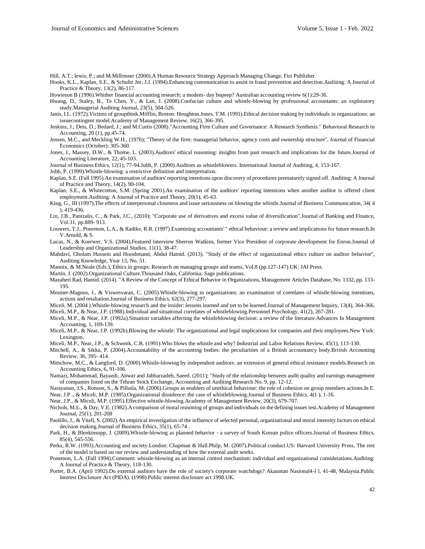Hill, A.T.; lewis, P.; and M.Millrmser (2000).A Human Resource Strategy Approach Managing Change, Firs Publisher.

Hooks, K.L., Kaplan, S.E., & Schultz Jnr, J.J. (1994).Enhancing communication to assist in fraud prevention and detection.Auditing: A Journal of Practice & Theory, 13(2), 86-117.

Howieson B (1996).Whither financial accounting research; a modem- day bopeep? Australian accounting review 6(1):29-36.

Hwang, D., Staley, B., Te Chen, Y., & Lan, J. (2008).Confucian culture and whistle-blowing by professional accountants: an exploratory study.Managerial Auditing Journal, 23(5), 504-526.

Janis, I.L. (1972).Victims of groupthink.Mifflin, Boston: Houghton.Jones, T.M. (1991).Ethical decision making by individuals in organizations: an issuecontingent model.Academy of Management Review, 16(2), 366-395.

Jenkins, J.; Deis, D.; Bedard, J.; and M.Curtis (2008)."Accounting Firm Culture and Governance: A Research Synthesis." Behavioral Research in Accounting, 20 (1), pp.45-74.

Jensen, M.C., and Meckling W.H., (1976); "Theory of the firm: managerial behavior, agency costs and ownership structure", Journal of Financial Economics (October): 305-360.

Jones, J., Massey, D.W., & Thome, L. (2003).Auditors' ethical reasoning: insights from past research and implications for the future.Journal of Accounting Literature, 22, 45-103.

Journal of Business Ethics, 12(1), 77-94.Jubb, P. (2000).Auditors as whistleblowers. International Journal of Auditing, 4, 153-167.

Jubb, P. (1999).Whistle-blowing: a restrictive definition and interpretation.

Kaplan, S.E. (Fall 1995).An examination of auditors' reporting intentions upon discovery of procedures prematurely signed off. Auditing: A Journal of Practice and Theory, 14(2), 90-104.

Kaplan, S.E., & Whitecotton, S.M. (Spring 2001).An examination of the auditors' reporting intentions when another auditor is offered client employment.Auditing: A Journal of Practice and Theory, 20(1), 45-63.

King, G., III (1997).The effects of interpersonal closeness and issue seriousness on blowing the whistle.Journal of Business Communication, 34( 4 ), 419-436.

Lin, J.B., Pantzalis, C., & Park, J.C., (2010); "Corporate use of derivatives and excess value of diversification".Journal of Banking and Finance, Vol.31, pp.889- 913.

Louwers, T.J., Ponemon, L.A., & Radtke, R.R. (1997).Examining accountants' '' ethical behaviour: a review and implications for future research.In V.Arnold, & S.

Lucas, N., & Koerwer, V.S. (2004).Featured interview Sherron Watkins, former Vice President of corporate development for Enron.Journal of Leadership and Organizational Studies, 11(1), 38-47.

Mahdavi, Gholam Hussein and Hooshmand, Abdul Hamid. (2013). "Study of the effect of organizational ethics culture on auditor behavior", Auditing Knowledge, Year 13, No. 51.

Mannix, & M.Neale (Eds.), Ethics in groups: Research on managing groups and teams, Vol.8 (pp.127-147).UK: JAI Press.

Martin, J. (2002).Organizational Culture.Thousand Oaks, California: Sage publications.

Mazaheri Rad, Hamid. (2014). "A Review of the Concept of Ethical Behavior in Organizations, Management Articles Database, No. 1332, pp. 133- 195.

- Mesmer-Magnus, J., & Viswesvaran, C. (2005).Whistle-blowing in organizations: an examination of correlates of whistle-blowing intentions, actions and retaliation.Journal of Business Ethics, 62(3), 277-297.
- Miceli, M. (2004 ).Whistle-blowing research and the insider: lessons learned and yet to be learned.Journal of Management Inquiry, 13(4), 364-366. Miceli, M.P., & Near, J.P. (1988).Individual and situational correlates of whistleblowing.Personnel Psychology, 41(2), 267-281.

Miceli, M.P., & Near, J.P. (1992a).Situation variables affecting the whistleblowing decision: a review of the literature.Advances In Management Accounting, 1, 109-139.

Miceli, M.P., & Near, J.P. (1992b).Blowing the whistle: The organizational and legal implications for companies and their employees.New York: Lexington.

Miceli, M.P., Near, J.P., & Schwenk, C.R. (1991).Who blows the whistle and why? Industrial and Labor Relations Review, 45(1), 113-130.

Mitchell, A., & Sikka, P. (2004).Accountability of the accounting bodies: the peculiarities of a British accountancy body.British Accounting Review, 36, 395- 414.

Mitschow, M.C., & Langford, D. (2000).Whistle-blowing by independent auditors: an extension of general ethical resistance models.Research on Accounting Ethics, 6, 91-106.

Namazi, Mohammad, Bayazdi, Anwar and Jabbarzadeh, Saeed. (2011); "Study of the relationship between audit quality and earnings management of companies listed on the Tehran Stock Exchange, Accounting and Auditing Research No. 9, pp. 12-12.

Narayanan, J.S., Ronson, S., & Pillutla, M. (2006).Groups as enablers of unethical behaviour: the role of cohesion on group members actions.In E. Near, J.P ., & Miceli, M.P. (1985).Organizational dissidence: the case of whistleblowing.Journal of Business Ethics, 4(1 ), 1-16.

Near, J.P., & Miceli, M.P. (1995).Effective whistle-blowing.Academy of Management Review, 20(3), 679-707.

Nichols, M.L., & Day, V.E. (1982).A comparison of moral reasoning of groups and individuals on the defining issues test.Academy of Management Journal, 25(1), 201-208

Paolillo, J., & Vitell, S. (2002).An empirical investigation of the influence of selected personal, organizational and moral intensity factors on ethical decision making.Journal of Business Ethics, 35(1), 65-74 .

Park, H., & Blenkinsopp, J. (2009).Whistle-blowing as planned behavior - a survey of South Korean police officers.Journal of Business Ethics, 85(4), 545-556.

Perks, R.W. (1993).Accounting and society.London: Chapman & Hall.Philp, M. (2007).Political conduct.US: Harvard University Press, The rest of the model is based on our review and understanding of how the external audit works.

Ponemon, L.A. (Fall 1994).Comment: whistle-blowing as an internal control mechanism: individual and organizational considerations.Auditing: A Journal of Practice & Theory, 118-130.

Porter, B.A. (April 1992).Do external auditors have the role of society's corporate watchdogs? Akauntan Nasional4-l l, 41-48, Malaysia.Public Interest Disclosure Act (PIDA). (1998).Public interest disclosure act 1998.UK.